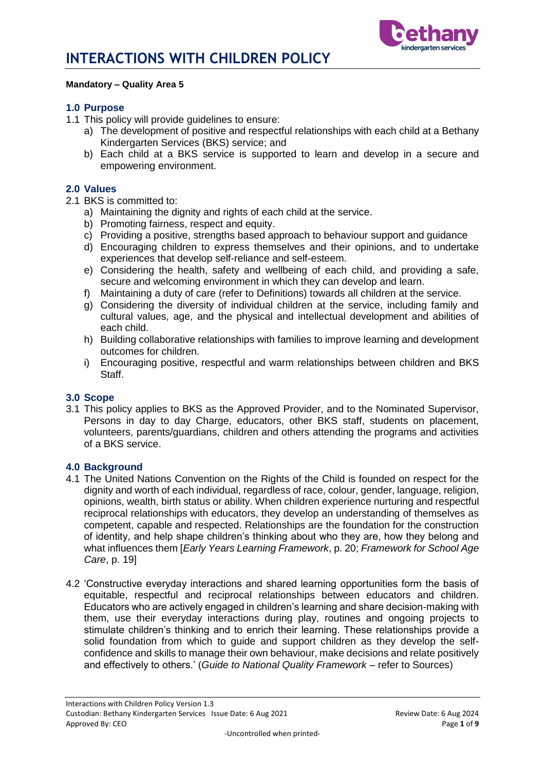

### **Mandatory – Quality Area 5**

#### **1.0 Purpose**

- 1.1 This policy will provide guidelines to ensure:
	- a) The development of positive and respectful relationships with each child at a Bethany Kindergarten Services (BKS) service; and
	- b) Each child at a BKS service is supported to learn and develop in a secure and empowering environment.

#### **2.0 Values**

- 2.1 BKS is committed to:
	- a) Maintaining the dignity and rights of each child at the service.
	- b) Promoting fairness, respect and equity.
	- c) Providing a positive, strengths based approach to behaviour support and guidance
	- d) Encouraging children to express themselves and their opinions, and to undertake experiences that develop self-reliance and self-esteem.
	- e) Considering the health, safety and wellbeing of each child, and providing a safe, secure and welcoming environment in which they can develop and learn.
	- f) Maintaining a duty of care (refer to Definitions) towards all children at the service.
	- g) Considering the diversity of individual children at the service, including family and cultural values, age, and the physical and intellectual development and abilities of each child.
	- h) Building collaborative relationships with families to improve learning and development outcomes for children.
	- i) Encouraging positive, respectful and warm relationships between children and BKS Staff.

#### **3.0 Scope**

3.1 This policy applies to BKS as the Approved Provider, and to the Nominated Supervisor, Persons in day to day Charge, educators, other BKS staff, students on placement, volunteers, parents/guardians, children and others attending the programs and activities of a BKS service.

#### **4.0 Background**

- 4.1 The United Nations Convention on the Rights of the Child is founded on respect for the dignity and worth of each individual, regardless of race, colour, gender, language, religion, opinions, wealth, birth status or ability. When children experience nurturing and respectful reciprocal relationships with educators, they develop an understanding of themselves as competent, capable and respected. Relationships are the foundation for the construction of identity, and help shape children's thinking about who they are, how they belong and what influences them [*Early Years Learning Framework*, p. 20; *Framework for School Age Care*, p. 19]
- 4.2 'Constructive everyday interactions and shared learning opportunities form the basis of equitable, respectful and reciprocal relationships between educators and children. Educators who are actively engaged in children's learning and share decision-making with them, use their everyday interactions during play, routines and ongoing projects to stimulate children's thinking and to enrich their learning. These relationships provide a solid foundation from which to guide and support children as they develop the selfconfidence and skills to manage their own behaviour, make decisions and relate positively and effectively to others.' (*Guide to National Quality Framework* – refer to Sources)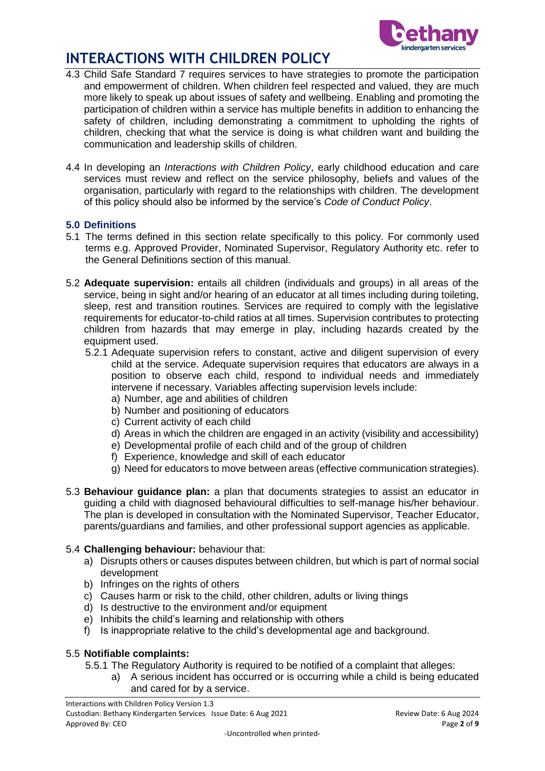

- 4.3 Child Safe Standard 7 requires services to have strategies to promote the participation and empowerment of children. When children feel respected and valued, they are much more likely to speak up about issues of safety and wellbeing. Enabling and promoting the participation of children within a service has multiple benefits in addition to enhancing the safety of children, including demonstrating a commitment to upholding the rights of children, checking that what the service is doing is what children want and building the communication and leadership skills of children.
- 4.4 In developing an *Interactions with Children Policy*, early childhood education and care services must review and reflect on the service philosophy, beliefs and values of the organisation, particularly with regard to the relationships with children. The development of this policy should also be informed by the service's *Code of Conduct Policy*.

### **5.0 Definitions**

- 5.1 The terms defined in this section relate specifically to this policy. For commonly used terms e.g. Approved Provider, Nominated Supervisor, Regulatory Authority etc. refer to the General Definitions section of this manual.
- 5.2 **Adequate supervision:** entails all children (individuals and groups) in all areas of the service, being in sight and/or hearing of an educator at all times including during toileting, sleep, rest and transition routines. Services are required to comply with the legislative requirements for educator-to-child ratios at all times. Supervision contributes to protecting children from hazards that may emerge in play, including hazards created by the equipment used.
	- 5.2.1 Adequate supervision refers to constant, active and diligent supervision of every child at the service. Adequate supervision requires that educators are always in a position to observe each child, respond to individual needs and immediately intervene if necessary. Variables affecting supervision levels include:
		- a) Number, age and abilities of children
		- b) Number and positioning of educators
		- c) Current activity of each child
		- d) Areas in which the children are engaged in an activity (visibility and accessibility)
		- e) Developmental profile of each child and of the group of children
		- f) Experience, knowledge and skill of each educator
		- g) Need for educators to move between areas (effective communication strategies).
- 5.3 **Behaviour guidance plan:** a plan that documents strategies to assist an educator in guiding a child with diagnosed behavioural difficulties to self-manage his/her behaviour. The plan is developed in consultation with the Nominated Supervisor, Teacher Educator, parents/guardians and families, and other professional support agencies as applicable.

## 5.4 **Challenging behaviour:** behaviour that:

- a) Disrupts others or causes disputes between children, but which is part of normal social development
- b) Infringes on the rights of others
- c) Causes harm or risk to the child, other children, adults or living things
- d) Is destructive to the environment and/or equipment
- e) Inhibits the child's learning and relationship with others
- f) Is inappropriate relative to the child's developmental age and background.

### 5.5 **Notifiable complaints:**

- 5.5.1 The Regulatory Authority is required to be notified of a complaint that alleges:
	- a) A serious incident has occurred or is occurring while a child is being educated and cared for by a service.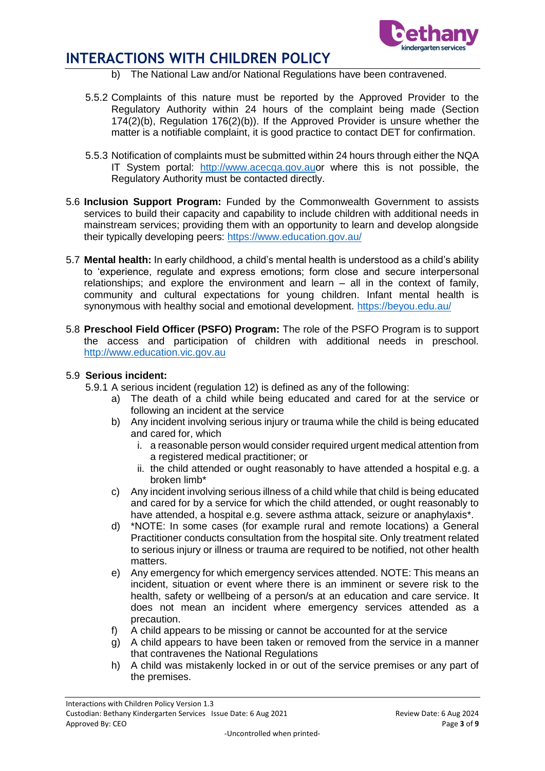

- b) The National Law and/or National Regulations have been contravened.
- 5.5.2 Complaints of this nature must be reported by the Approved Provider to the Regulatory Authority within 24 hours of the complaint being made (Section 174(2)(b), Regulation 176(2)(b)). If the Approved Provider is unsure whether the matter is a notifiable complaint, it is good practice to contact DET for confirmation.
- 5.5.3 Notification of complaints must be submitted within 24 hours through either the NQA IT System portal: [http://www.acecqa.gov.auo](http://www.acecqa.gov.au/)r where this is not possible, the Regulatory Authority must be contacted directly.
- 5.6 **Inclusion Support Program:** Funded by the Commonwealth Government to assists services to build their capacity and capability to include children with additional needs in mainstream services; providing them with an opportunity to learn and develop alongside their typically developing peers:<https://www.education.gov.au/>
- 5.7 **Mental health:** In early childhood, a child's mental health is understood as a child's ability to 'experience, regulate and express emotions; form close and secure interpersonal relationships; and explore the environment and learn – all in the context of family, community and cultural expectations for young children. Infant mental health is synonymous with healthy social and emotional development.<https://beyou.edu.au/>
- 5.8 **Preschool Field Officer (PSFO) Program:** The role of the PSFO Program is to support the access and participation of children with additional needs in preschool. [http://www.education.vic.gov.au](http://www.education.vic.gov.au/Pages/default.aspx)

### 5.9 **Serious incident:**

- 5.9.1 A serious incident (regulation 12) is defined as any of the following:
	- a) The death of a child while being educated and cared for at the service or following an incident at the service
	- b) Any incident involving serious injury or trauma while the child is being educated and cared for, which
		- i. a reasonable person would consider required urgent medical attention from a registered medical practitioner; or
		- ii. the child attended or ought reasonably to have attended a hospital e.g. a broken limb\*
	- c) Any incident involving serious illness of a child while that child is being educated and cared for by a service for which the child attended, or ought reasonably to have attended, a hospital e.g. severe asthma attack, seizure or anaphylaxis\*.
	- d) \*NOTE: In some cases (for example rural and remote locations) a General Practitioner conducts consultation from the hospital site. Only treatment related to serious injury or illness or trauma are required to be notified, not other health matters.
	- e) Any emergency for which emergency services attended. NOTE: This means an incident, situation or event where there is an imminent or severe risk to the health, safety or wellbeing of a person/s at an education and care service. It does not mean an incident where emergency services attended as a precaution.
	- f) A child appears to be missing or cannot be accounted for at the service
	- g) A child appears to have been taken or removed from the service in a manner that contravenes the National Regulations
	- h) A child was mistakenly locked in or out of the service premises or any part of the premises.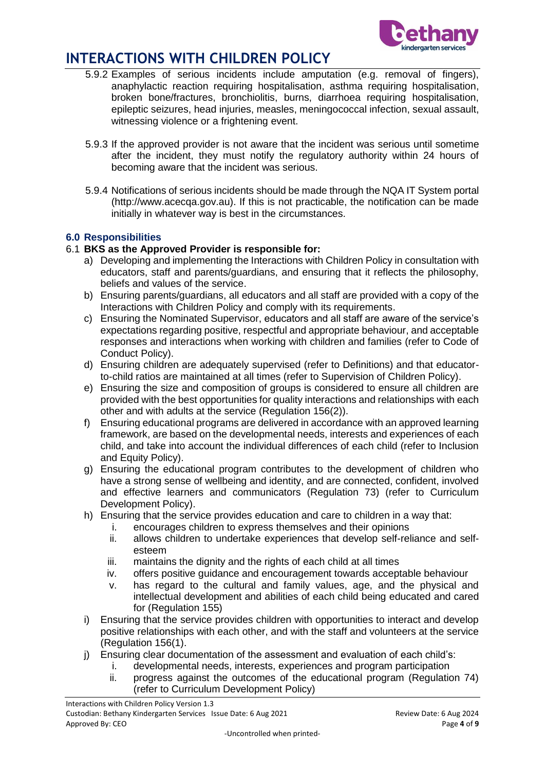

- 5.9.2 Examples of serious incidents include amputation (e.g. removal of fingers), anaphylactic reaction requiring hospitalisation, asthma requiring hospitalisation, broken bone/fractures, bronchiolitis, burns, diarrhoea requiring hospitalisation, epileptic seizures, head injuries, measles, meningococcal infection, sexual assault, witnessing violence or a frightening event.
- 5.9.3 If the approved provider is not aware that the incident was serious until sometime after the incident, they must notify the regulatory authority within 24 hours of becoming aware that the incident was serious.
- 5.9.4 Notifications of serious incidents should be made through the NQA IT System portal (http://www.acecqa.gov.au). If this is not practicable, the notification can be made initially in whatever way is best in the circumstances.

## **6.0 Responsibilities**

### 6.1 **BKS as the Approved Provider is responsible for:**

- a) Developing and implementing the Interactions with Children Policy in consultation with educators, staff and parents/guardians, and ensuring that it reflects the philosophy, beliefs and values of the service.
- b) Ensuring parents/guardians, all educators and all staff are provided with a copy of the Interactions with Children Policy and comply with its requirements.
- c) Ensuring the Nominated Supervisor, educators and all staff are aware of the service's expectations regarding positive, respectful and appropriate behaviour, and acceptable responses and interactions when working with children and families (refer to Code of Conduct Policy).
- d) Ensuring children are adequately supervised (refer to Definitions) and that educatorto-child ratios are maintained at all times (refer to Supervision of Children Policy).
- e) Ensuring the size and composition of groups is considered to ensure all children are provided with the best opportunities for quality interactions and relationships with each other and with adults at the service (Regulation 156(2)).
- f) Ensuring educational programs are delivered in accordance with an approved learning framework, are based on the developmental needs, interests and experiences of each child, and take into account the individual differences of each child (refer to Inclusion and Equity Policy).
- g) Ensuring the educational program contributes to the development of children who have a strong sense of wellbeing and identity, and are connected, confident, involved and effective learners and communicators (Regulation 73) (refer to Curriculum Development Policy).
- h) Ensuring that the service provides education and care to children in a way that:
	- i. encourages children to express themselves and their opinions
		- ii. allows children to undertake experiences that develop self-reliance and selfesteem
	- iii. maintains the dignity and the rights of each child at all times
	- iv. offers positive guidance and encouragement towards acceptable behaviour
	- v. has regard to the cultural and family values, age, and the physical and intellectual development and abilities of each child being educated and cared for (Regulation 155)
- i) Ensuring that the service provides children with opportunities to interact and develop positive relationships with each other, and with the staff and volunteers at the service (Regulation 156(1).
- j) Ensuring clear documentation of the assessment and evaluation of each child's:
	- i. developmental needs, interests, experiences and program participation
		- ii. progress against the outcomes of the educational program (Regulation 74) (refer to Curriculum Development Policy)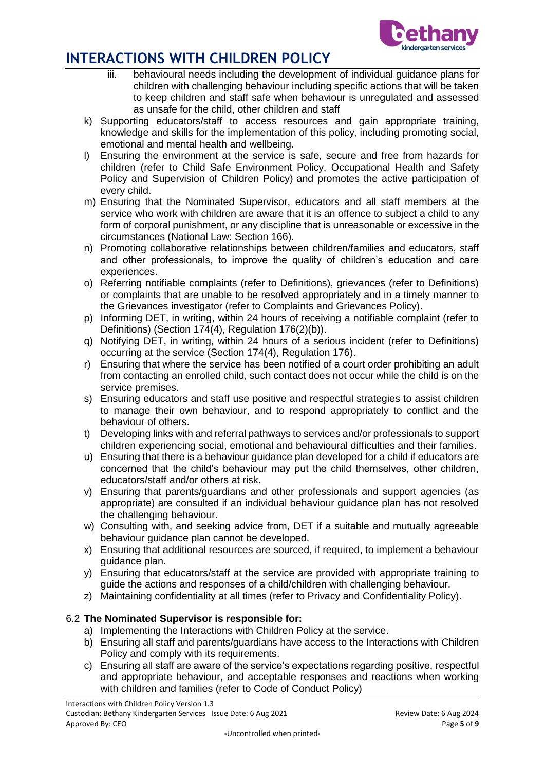

- iii. behavioural needs including the development of individual guidance plans for children with challenging behaviour including specific actions that will be taken to keep children and staff safe when behaviour is unregulated and assessed as unsafe for the child, other children and staff
- k) Supporting educators/staff to access resources and gain appropriate training, knowledge and skills for the implementation of this policy, including promoting social, emotional and mental health and wellbeing.
- l) Ensuring the environment at the service is safe, secure and free from hazards for children (refer to Child Safe Environment Policy, Occupational Health and Safety Policy and Supervision of Children Policy) and promotes the active participation of every child.
- m) Ensuring that the Nominated Supervisor, educators and all staff members at the service who work with children are aware that it is an offence to subject a child to any form of corporal punishment, or any discipline that is unreasonable or excessive in the circumstances (National Law: Section 166).
- n) Promoting collaborative relationships between children/families and educators, staff and other professionals, to improve the quality of children's education and care experiences.
- o) Referring notifiable complaints (refer to Definitions), grievances (refer to Definitions) or complaints that are unable to be resolved appropriately and in a timely manner to the Grievances investigator (refer to Complaints and Grievances Policy).
- p) Informing DET, in writing, within 24 hours of receiving a notifiable complaint (refer to Definitions) (Section 174(4), Regulation 176(2)(b)).
- q) Notifying DET, in writing, within 24 hours of a serious incident (refer to Definitions) occurring at the service (Section 174(4), Regulation 176).
- r) Ensuring that where the service has been notified of a court order prohibiting an adult from contacting an enrolled child, such contact does not occur while the child is on the service premises.
- s) Ensuring educators and staff use positive and respectful strategies to assist children to manage their own behaviour, and to respond appropriately to conflict and the behaviour of others.
- t) Developing links with and referral pathways to services and/or professionals to support children experiencing social, emotional and behavioural difficulties and their families.
- u) Ensuring that there is a behaviour guidance plan developed for a child if educators are concerned that the child's behaviour may put the child themselves, other children, educators/staff and/or others at risk.
- v) Ensuring that parents/guardians and other professionals and support agencies (as appropriate) are consulted if an individual behaviour guidance plan has not resolved the challenging behaviour.
- w) Consulting with, and seeking advice from, DET if a suitable and mutually agreeable behaviour guidance plan cannot be developed.
- x) Ensuring that additional resources are sourced, if required, to implement a behaviour guidance plan.
- y) Ensuring that educators/staff at the service are provided with appropriate training to guide the actions and responses of a child/children with challenging behaviour.
- z) Maintaining confidentiality at all times (refer to Privacy and Confidentiality Policy).

## 6.2 **The Nominated Supervisor is responsible for:**

- a) Implementing the Interactions with Children Policy at the service.
- b) Ensuring all staff and parents/guardians have access to the Interactions with Children Policy and comply with its requirements.
- c) Ensuring all staff are aware of the service's expectations regarding positive, respectful and appropriate behaviour, and acceptable responses and reactions when working with children and families (refer to Code of Conduct Policy)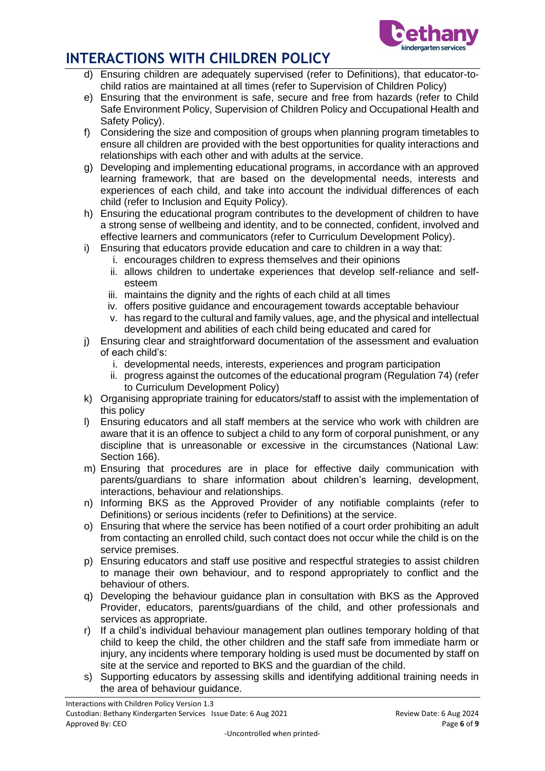

- d) Ensuring children are adequately supervised (refer to Definitions), that educator-tochild ratios are maintained at all times (refer to Supervision of Children Policy)
- e) Ensuring that the environment is safe, secure and free from hazards (refer to Child Safe Environment Policy, Supervision of Children Policy and Occupational Health and Safety Policy).
- f) Considering the size and composition of groups when planning program timetables to ensure all children are provided with the best opportunities for quality interactions and relationships with each other and with adults at the service.
- g) Developing and implementing educational programs, in accordance with an approved learning framework, that are based on the developmental needs, interests and experiences of each child, and take into account the individual differences of each child (refer to Inclusion and Equity Policy).
- h) Ensuring the educational program contributes to the development of children to have a strong sense of wellbeing and identity, and to be connected, confident, involved and effective learners and communicators (refer to Curriculum Development Policy).
- i) Ensuring that educators provide education and care to children in a way that:
	- i. encourages children to express themselves and their opinions
	- ii. allows children to undertake experiences that develop self-reliance and selfesteem
	- iii. maintains the dignity and the rights of each child at all times
	- iv. offers positive guidance and encouragement towards acceptable behaviour
	- v. has regard to the cultural and family values, age, and the physical and intellectual development and abilities of each child being educated and cared for
- j) Ensuring clear and straightforward documentation of the assessment and evaluation of each child's:
	- i. developmental needs, interests, experiences and program participation
	- ii. progress against the outcomes of the educational program (Regulation 74) (refer to Curriculum Development Policy)
- k) Organising appropriate training for educators/staff to assist with the implementation of this policy
- l) Ensuring educators and all staff members at the service who work with children are aware that it is an offence to subject a child to any form of corporal punishment, or any discipline that is unreasonable or excessive in the circumstances (National Law: Section 166).
- m) Ensuring that procedures are in place for effective daily communication with parents/guardians to share information about children's learning, development, interactions, behaviour and relationships.
- n) Informing BKS as the Approved Provider of any notifiable complaints (refer to Definitions) or serious incidents (refer to Definitions) at the service.
- o) Ensuring that where the service has been notified of a court order prohibiting an adult from contacting an enrolled child, such contact does not occur while the child is on the service premises.
- p) Ensuring educators and staff use positive and respectful strategies to assist children to manage their own behaviour, and to respond appropriately to conflict and the behaviour of others.
- q) Developing the behaviour guidance plan in consultation with BKS as the Approved Provider, educators, parents/guardians of the child, and other professionals and services as appropriate.
- r) If a child's individual behaviour management plan outlines temporary holding of that child to keep the child, the other children and the staff safe from immediate harm or injury, any incidents where temporary holding is used must be documented by staff on site at the service and reported to BKS and the guardian of the child.
- s) Supporting educators by assessing skills and identifying additional training needs in the area of behaviour guidance.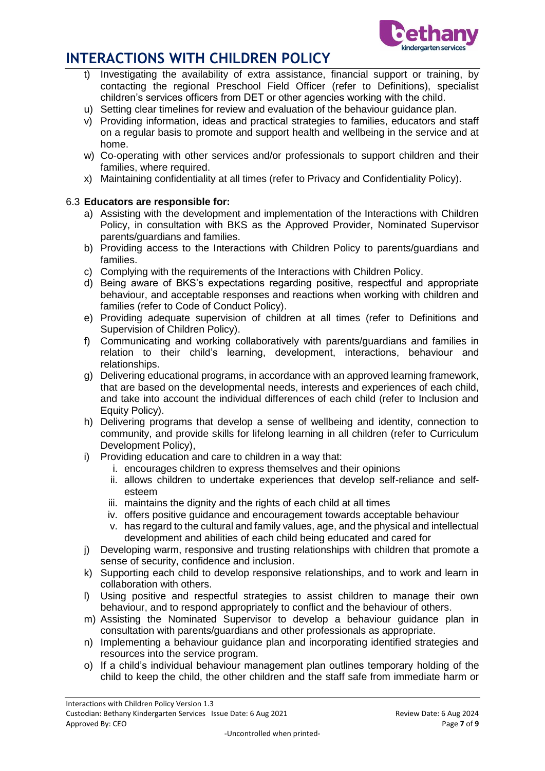

- Investigating the availability of extra assistance, financial support or training, by contacting the regional Preschool Field Officer (refer to Definitions), specialist children's services officers from DET or other agencies working with the child.
- u) Setting clear timelines for review and evaluation of the behaviour guidance plan.
- v) Providing information, ideas and practical strategies to families, educators and staff on a regular basis to promote and support health and wellbeing in the service and at home.
- w) Co-operating with other services and/or professionals to support children and their families, where required.
- x) Maintaining confidentiality at all times (refer to Privacy and Confidentiality Policy).

## 6.3 **Educators are responsible for:**

- a) Assisting with the development and implementation of the Interactions with Children Policy, in consultation with BKS as the Approved Provider, Nominated Supervisor parents/guardians and families.
- b) Providing access to the Interactions with Children Policy to parents/guardians and families.
- c) Complying with the requirements of the Interactions with Children Policy.
- d) Being aware of BKS's expectations regarding positive, respectful and appropriate behaviour, and acceptable responses and reactions when working with children and families (refer to Code of Conduct Policy).
- e) Providing adequate supervision of children at all times (refer to Definitions and Supervision of Children Policy).
- f) Communicating and working collaboratively with parents/guardians and families in relation to their child's learning, development, interactions, behaviour and relationships.
- g) Delivering educational programs, in accordance with an approved learning framework, that are based on the developmental needs, interests and experiences of each child, and take into account the individual differences of each child (refer to Inclusion and Equity Policy).
- h) Delivering programs that develop a sense of wellbeing and identity, connection to community, and provide skills for lifelong learning in all children (refer to Curriculum Development Policy),
- i) Providing education and care to children in a way that:
	- i. encourages children to express themselves and their opinions
	- ii. allows children to undertake experiences that develop self-reliance and selfesteem
	- iii. maintains the dignity and the rights of each child at all times
	- iv. offers positive guidance and encouragement towards acceptable behaviour
	- v. has regard to the cultural and family values, age, and the physical and intellectual development and abilities of each child being educated and cared for
- j) Developing warm, responsive and trusting relationships with children that promote a sense of security, confidence and inclusion.
- k) Supporting each child to develop responsive relationships, and to work and learn in collaboration with others.
- l) Using positive and respectful strategies to assist children to manage their own behaviour, and to respond appropriately to conflict and the behaviour of others.
- m) Assisting the Nominated Supervisor to develop a behaviour guidance plan in consultation with parents/guardians and other professionals as appropriate.
- n) Implementing a behaviour guidance plan and incorporating identified strategies and resources into the service program.
- o) If a child's individual behaviour management plan outlines temporary holding of the child to keep the child, the other children and the staff safe from immediate harm or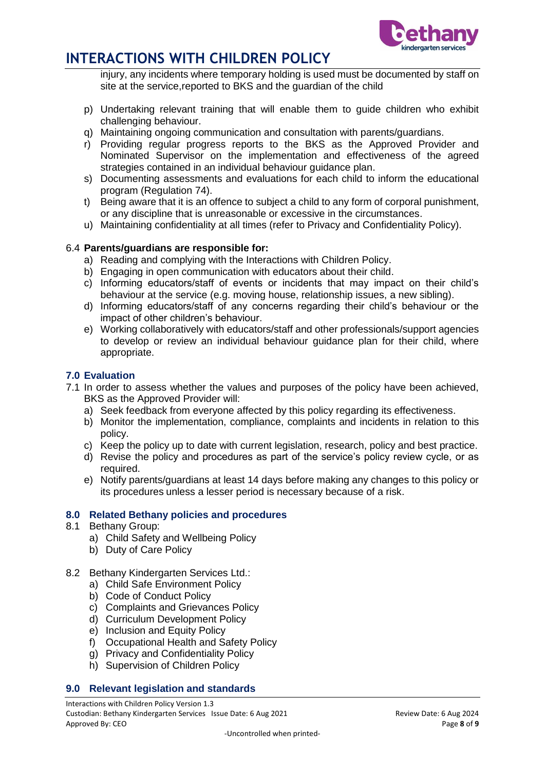

injury, any incidents where temporary holding is used must be documented by staff on site at the service,reported to BKS and the guardian of the child

- p) Undertaking relevant training that will enable them to guide children who exhibit challenging behaviour.
- q) Maintaining ongoing communication and consultation with parents/guardians.
- r) Providing regular progress reports to the BKS as the Approved Provider and Nominated Supervisor on the implementation and effectiveness of the agreed strategies contained in an individual behaviour guidance plan.
- s) Documenting assessments and evaluations for each child to inform the educational program (Regulation 74).
- t) Being aware that it is an offence to subject a child to any form of corporal punishment, or any discipline that is unreasonable or excessive in the circumstances.
- u) Maintaining confidentiality at all times (refer to Privacy and Confidentiality Policy).

### 6.4 **Parents/guardians are responsible for:**

- a) Reading and complying with the Interactions with Children Policy.
- b) Engaging in open communication with educators about their child.
- c) Informing educators/staff of events or incidents that may impact on their child's behaviour at the service (e.g. moving house, relationship issues, a new sibling).
- d) Informing educators/staff of any concerns regarding their child's behaviour or the impact of other children's behaviour.
- e) Working collaboratively with educators/staff and other professionals/support agencies to develop or review an individual behaviour guidance plan for their child, where appropriate.

### **7.0 Evaluation**

- 7.1 In order to assess whether the values and purposes of the policy have been achieved, BKS as the Approved Provider will:
	- a) Seek feedback from everyone affected by this policy regarding its effectiveness.
	- b) Monitor the implementation, compliance, complaints and incidents in relation to this policy.
	- c) Keep the policy up to date with current legislation, research, policy and best practice.
	- d) Revise the policy and procedures as part of the service's policy review cycle, or as required.
	- e) Notify parents/guardians at least 14 days before making any changes to this policy or its procedures unless a lesser period is necessary because of a risk.

### **8.0 Related Bethany policies and procedures**

- 8.1 Bethany Group:
	- a) Child Safety and Wellbeing Policy
	- b) Duty of Care Policy
- 8.2 Bethany Kindergarten Services Ltd.:
	- a) Child Safe Environment Policy
	- b) Code of Conduct Policy
	- c) Complaints and Grievances Policy
	- d) Curriculum Development Policy
	- e) Inclusion and Equity Policy
	- f) Occupational Health and Safety Policy
	- g) Privacy and Confidentiality Policy
	- h) Supervision of Children Policy

### **9.0 Relevant legislation and standards**

Interactions with Children Policy Version 1.3 Custodian: Bethany Kindergarten Services Issue Date: 6 Aug 2021 Review Date: 6 Aug 2024 Approved By: CEO **Page 8** of **9**